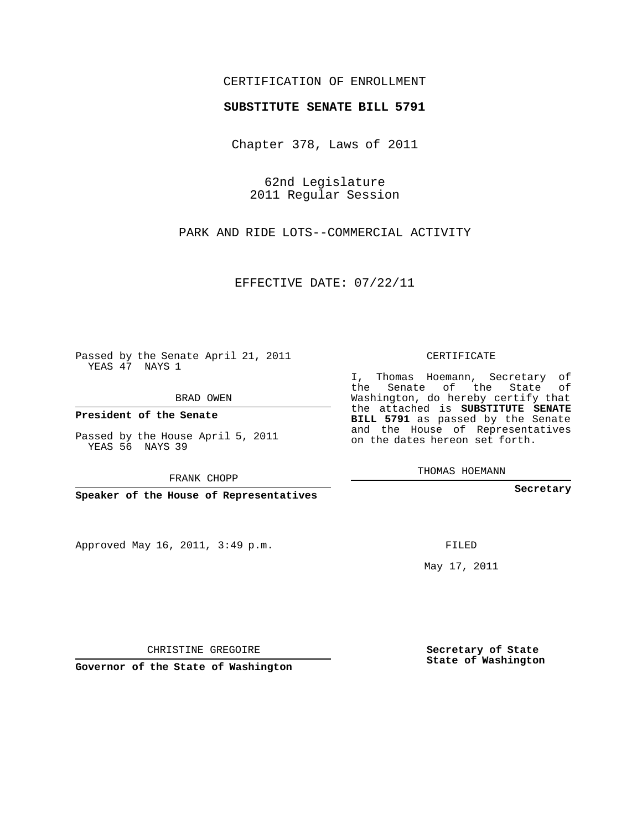## CERTIFICATION OF ENROLLMENT

## **SUBSTITUTE SENATE BILL 5791**

Chapter 378, Laws of 2011

62nd Legislature 2011 Regular Session

PARK AND RIDE LOTS--COMMERCIAL ACTIVITY

EFFECTIVE DATE: 07/22/11

Passed by the Senate April 21, 2011 YEAS 47 NAYS 1

BRAD OWEN

**President of the Senate**

Passed by the House April 5, 2011 YEAS 56 NAYS 39

FRANK CHOPP

**Speaker of the House of Representatives**

Approved May 16, 2011, 3:49 p.m.

CERTIFICATE

I, Thomas Hoemann, Secretary of the Senate of the State of Washington, do hereby certify that the attached is **SUBSTITUTE SENATE BILL 5791** as passed by the Senate and the House of Representatives on the dates hereon set forth.

THOMAS HOEMANN

**Secretary**

FILED

May 17, 2011

**Secretary of State State of Washington**

CHRISTINE GREGOIRE

**Governor of the State of Washington**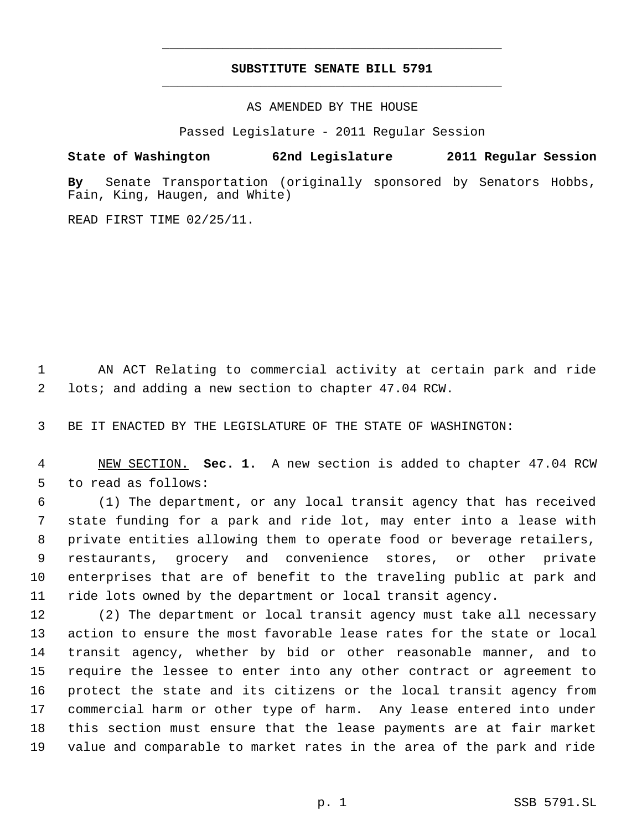## **SUBSTITUTE SENATE BILL 5791** \_\_\_\_\_\_\_\_\_\_\_\_\_\_\_\_\_\_\_\_\_\_\_\_\_\_\_\_\_\_\_\_\_\_\_\_\_\_\_\_\_\_\_\_\_

\_\_\_\_\_\_\_\_\_\_\_\_\_\_\_\_\_\_\_\_\_\_\_\_\_\_\_\_\_\_\_\_\_\_\_\_\_\_\_\_\_\_\_\_\_

AS AMENDED BY THE HOUSE

Passed Legislature - 2011 Regular Session

## **State of Washington 62nd Legislature 2011 Regular Session**

**By** Senate Transportation (originally sponsored by Senators Hobbs, Fain, King, Haugen, and White)

READ FIRST TIME 02/25/11.

 AN ACT Relating to commercial activity at certain park and ride lots; and adding a new section to chapter 47.04 RCW.

BE IT ENACTED BY THE LEGISLATURE OF THE STATE OF WASHINGTON:

 NEW SECTION. **Sec. 1.** A new section is added to chapter 47.04 RCW to read as follows:

 (1) The department, or any local transit agency that has received state funding for a park and ride lot, may enter into a lease with private entities allowing them to operate food or beverage retailers, restaurants, grocery and convenience stores, or other private enterprises that are of benefit to the traveling public at park and ride lots owned by the department or local transit agency.

 (2) The department or local transit agency must take all necessary action to ensure the most favorable lease rates for the state or local transit agency, whether by bid or other reasonable manner, and to require the lessee to enter into any other contract or agreement to protect the state and its citizens or the local transit agency from commercial harm or other type of harm. Any lease entered into under this section must ensure that the lease payments are at fair market value and comparable to market rates in the area of the park and ride